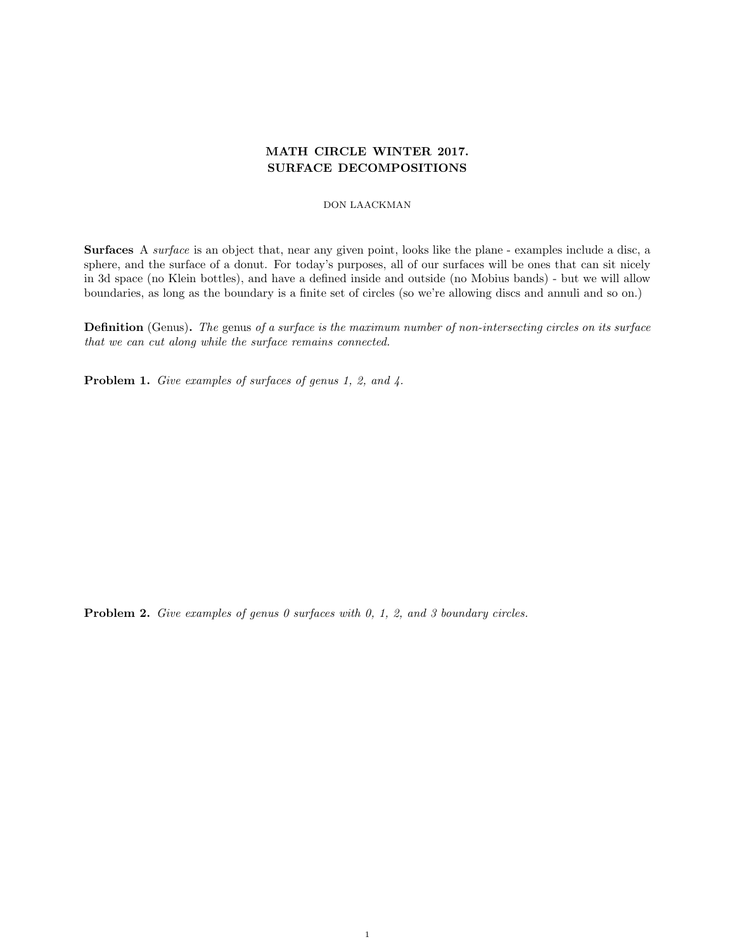# MATH CIRCLE WINTER 2017. SURFACE DECOMPOSITIONS

## DON LAACKMAN

Surfaces A surface is an object that, near any given point, looks like the plane - examples include a disc, a sphere, and the surface of a donut. For today's purposes, all of our surfaces will be ones that can sit nicely in 3d space (no Klein bottles), and have a defined inside and outside (no Mobius bands) - but we will allow boundaries, as long as the boundary is a finite set of circles (so we're allowing discs and annuli and so on.)

Definition (Genus). The genus of a surface is the maximum number of non-intersecting circles on its surface that we can cut along while the surface remains connected.

Problem 1. Give examples of surfaces of genus 1, 2, and 4.

Problem 2. Give examples of genus 0 surfaces with 0, 1, 2, and 3 boundary circles.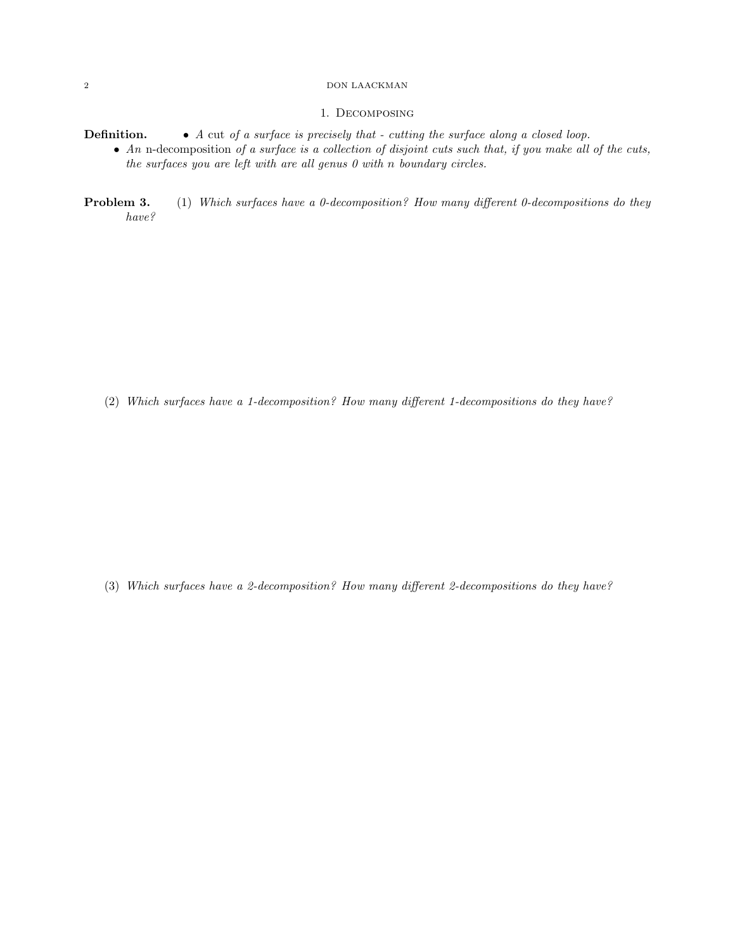### 2 DON LAACKMAN

## 1. Decomposing

- **Definition.** A cut of a surface is precisely that cutting the surface along a closed loop.
	- An n-decomposition of a surface is a collection of disjoint cuts such that, if you make all of the cuts, the surfaces you are left with are all genus  $\theta$  with n boundary circles.
- **Problem 3.** (1) Which surfaces have a 0-decomposition? How many different 0-decompositions do they have?

(2) Which surfaces have a 1-decomposition? How many different 1-decompositions do they have?

(3) Which surfaces have a 2-decomposition? How many different 2-decompositions do they have?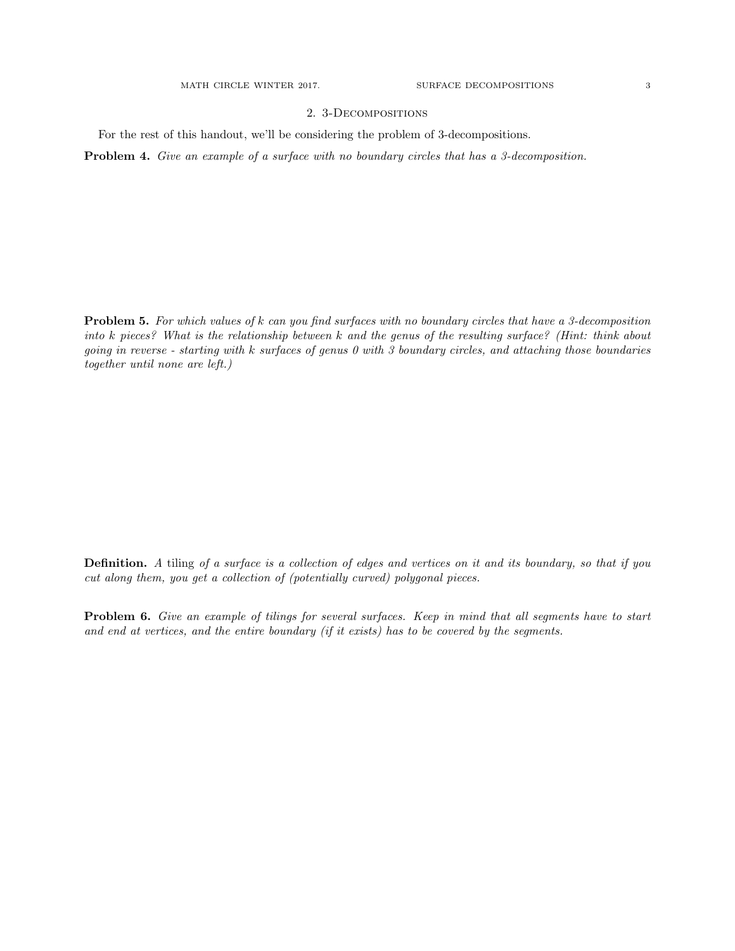# 2. 3-Decompositions

For the rest of this handout, we'll be considering the problem of 3-decompositions.

Problem 4. Give an example of a surface with no boundary circles that has a 3-decomposition.

Problem 5. For which values of k can you find surfaces with no boundary circles that have a 3-decomposition into k pieces? What is the relationship between k and the genus of the resulting surface? (Hint: think about going in reverse - starting with k surfaces of genus 0 with 3 boundary circles, and attaching those boundaries together until none are left.)

Definition. A tiling of a surface is a collection of edges and vertices on it and its boundary, so that if you cut along them, you get a collection of (potentially curved) polygonal pieces.

Problem 6. Give an example of tilings for several surfaces. Keep in mind that all segments have to start and end at vertices, and the entire boundary (if it exists) has to be covered by the segments.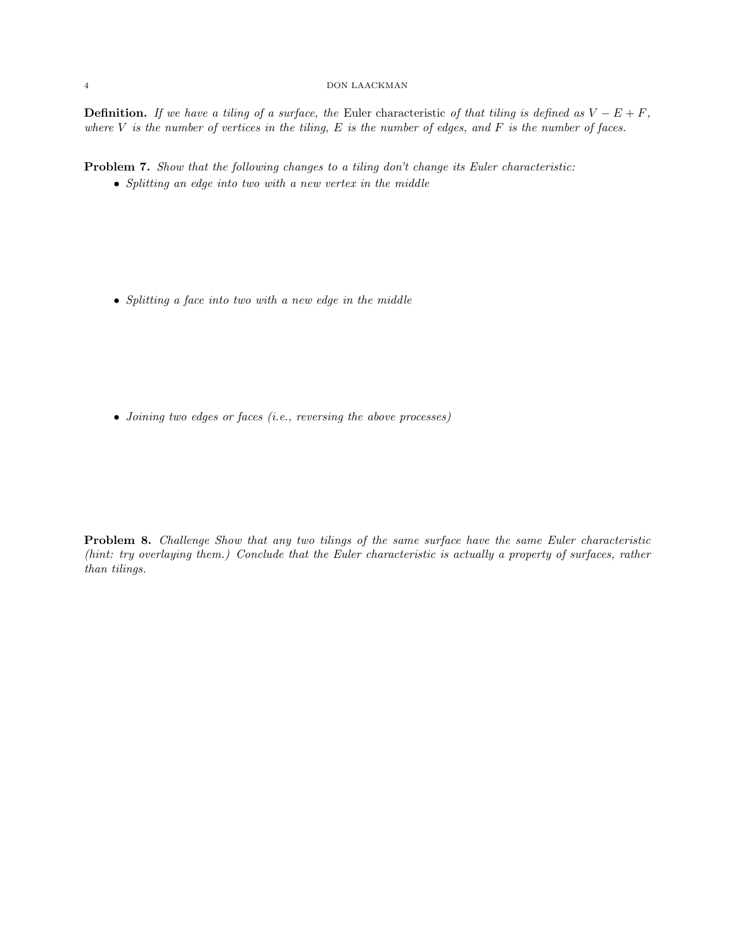#### 4 DON LAACKMAN

**Definition.** If we have a tiling of a surface, the Euler characteristic of that tiling is defined as  $V - E + F$ , where  $V$  is the number of vertices in the tiling,  $E$  is the number of edges, and  $F$  is the number of faces.

Problem 7. Show that the following changes to a tiling don't change its Euler characteristic:

• Splitting an edge into two with a new vertex in the middle

• Splitting a face into two with a new edge in the middle

• Joining two edges or faces (i.e., reversing the above processes)

Problem 8. Challenge Show that any two tilings of the same surface have the same Euler characteristic (hint: try overlaying them.) Conclude that the Euler characteristic is actually a property of surfaces, rather than tilings.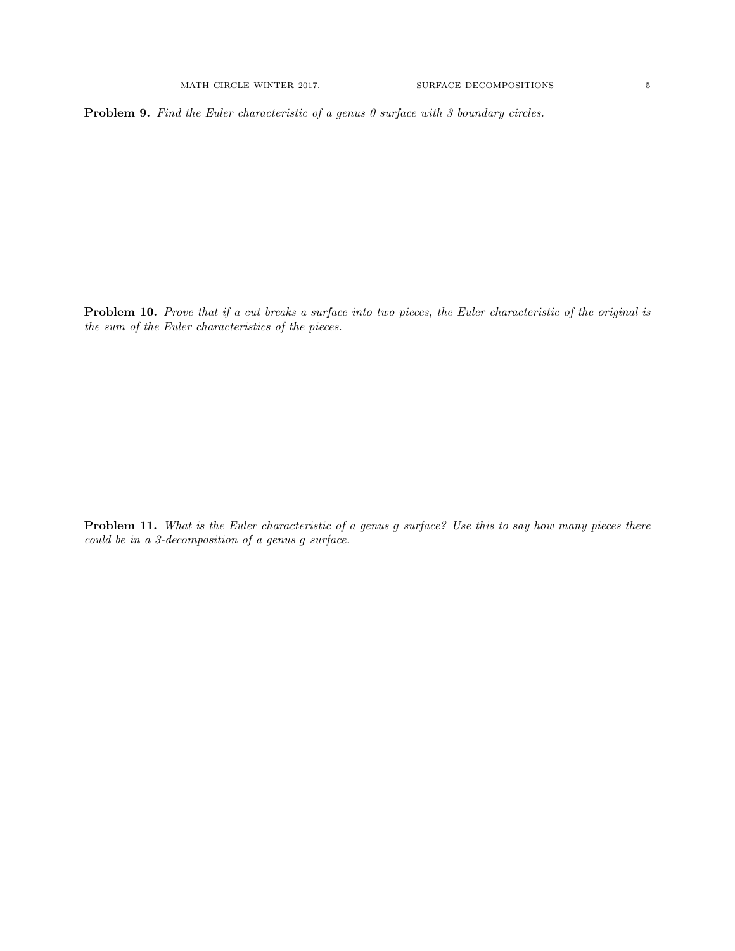**Problem 9.** Find the Euler characteristic of a genus  $\theta$  surface with  $\theta$  boundary circles.

Problem 10. Prove that if a cut breaks a surface into two pieces, the Euler characteristic of the original is the sum of the Euler characteristics of the pieces.

Problem 11. What is the Euler characteristic of a genus g surface? Use this to say how many pieces there could be in a 3-decomposition of a genus g surface.